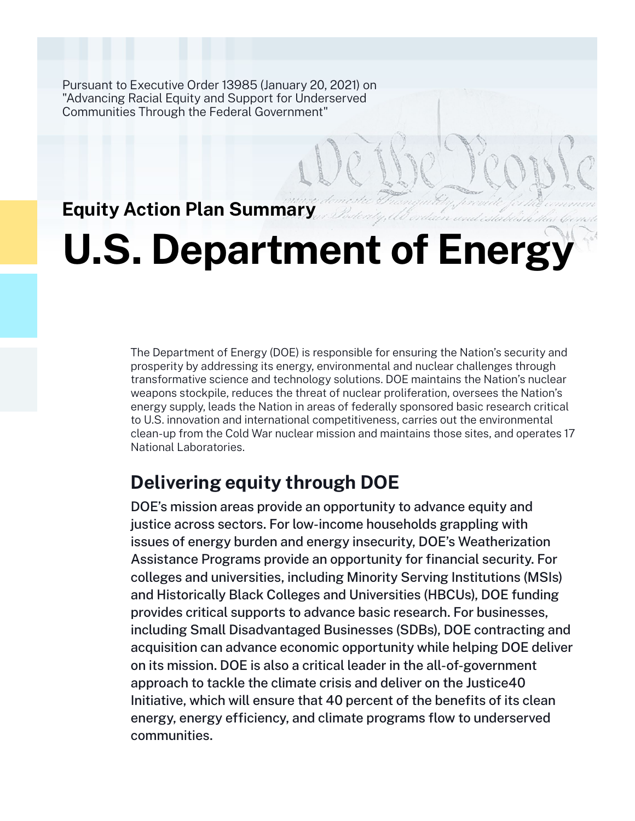Pursuant to Executive Order 13985 (January 20, 2021) on "Advancing Racial Equity and Support for Underserved Communities Through the Federal Government"

## **Equity Action Plan Summary**

# **U.S. Department of Energy**

The Department of Energy (DOE) is responsible for ensuring the Nation's security and prosperity by addressing its energy, environmental and nuclear challenges through transformative science and technology solutions. DOE maintains the Nation's nuclear weapons stockpile, reduces the threat of nuclear proliferation, oversees the Nation's energy supply, leads the Nation in areas of federally sponsored basic research critical to U.S. innovation and international competitiveness, carries out the environmental clean-up from the Cold War nuclear mission and maintains those sites, and operates 17 National Laboratories.

## **Delivering equity through DOE**

DOE's mission areas provide an opportunity to advance equity and justice across sectors. For low-income households grappling with issues of energy burden and energy insecurity, DOE's Weatherization Assistance Programs provide an opportunity for financial security. For colleges and universities, including Minority Serving Institutions (MSIs) and Historically Black Colleges and Universities (HBCUs), DOE funding provides critical supports to advance basic research. For businesses, including Small Disadvantaged Businesses (SDBs), DOE contracting and acquisition can advance economic opportunity while helping DOE deliver on its mission. DOE is also a critical leader in the all-of-government approach to tackle the climate crisis and deliver on the Justice40 Initiative, which will ensure that 40 percent of the benefits of its clean energy, energy efficiency, and climate programs flow to underserved communities.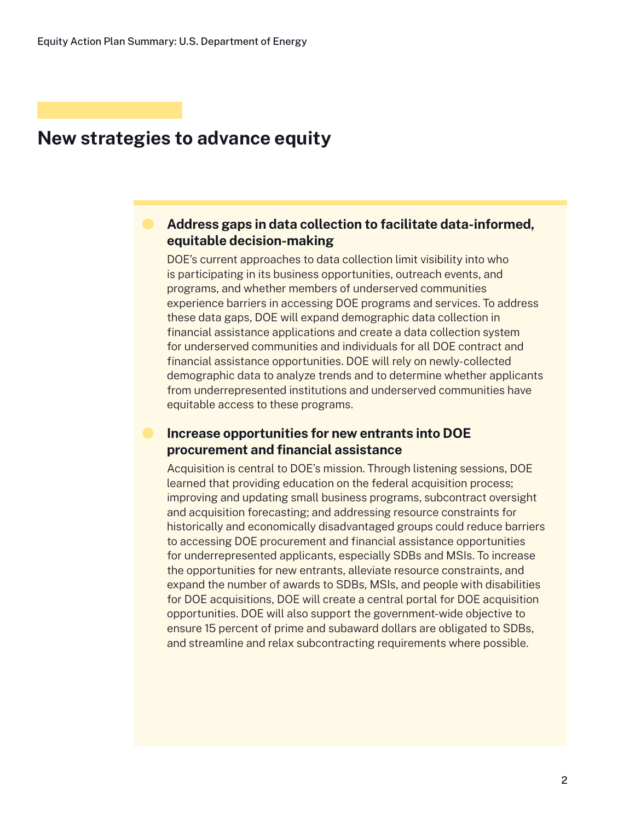### **New strategies to advance equity**

#### **Address gaps in data collection to facilitate data-informed, equitable decision-making**

DOE's current approaches to data collection limit visibility into who is participating in its business opportunities, outreach events, and programs, and whether members of underserved communities experience barriers in accessing DOE programs and services. To address these data gaps, DOE will expand demographic data collection in financial assistance applications and create a data collection system for underserved communities and individuals for all DOE contract and financial assistance opportunities. DOE will rely on newly-collected demographic data to analyze trends and to determine whether applicants from underrepresented institutions and underserved communities have equitable access to these programs.

#### **Increase opportunities for new entrants into DOE procurement and financial assistance**

Acquisition is central to DOE's mission. Through listening sessions, DOE learned that providing education on the federal acquisition process; improving and updating small business programs, subcontract oversight and acquisition forecasting; and addressing resource constraints for historically and economically disadvantaged groups could reduce barriers to accessing DOE procurement and financial assistance opportunities for underrepresented applicants, especially SDBs and MSIs. To increase the opportunities for new entrants, alleviate resource constraints, and expand the number of awards to SDBs, MSIs, and people with disabilities for DOE acquisitions, DOE will create a central portal for DOE acquisition opportunities. DOE will also support the government-wide objective to ensure 15 percent of prime and subaward dollars are obligated to SDBs, and streamline and relax subcontracting requirements where possible.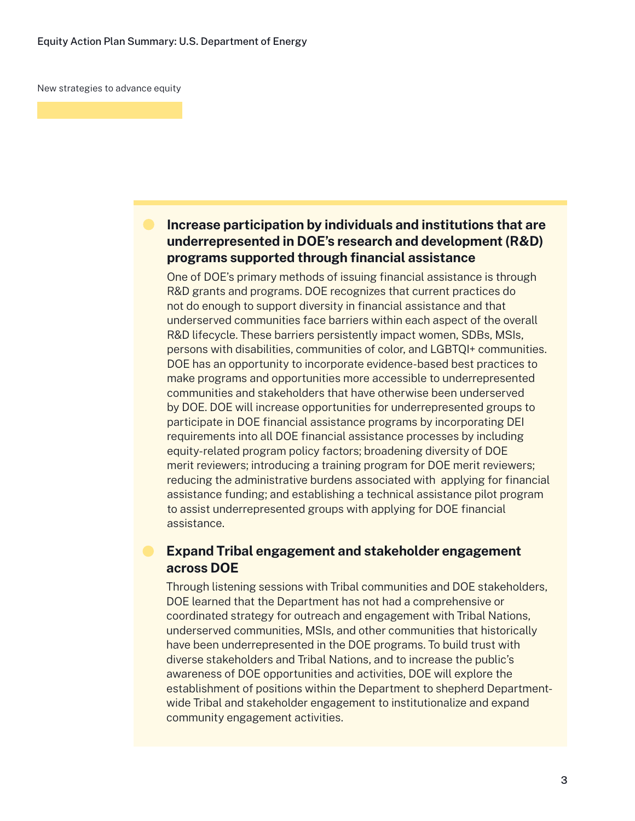New strategies to advance equity

#### **Increase participation by individuals and institutions that are underrepresented in DOE's research and development (R&D) programs supported through financial assistance**

One of DOE's primary methods of issuing financial assistance is through R&D grants and programs. DOE recognizes that current practices do not do enough to support diversity in financial assistance and that underserved communities face barriers within each aspect of the overall R&D lifecycle. These barriers persistently impact women, SDBs, MSIs, persons with disabilities, communities of color, and LGBTQI+ communities. DOE has an opportunity to incorporate evidence-based best practices to make programs and opportunities more accessible to underrepresented communities and stakeholders that have otherwise been underserved by DOE. DOE will increase opportunities for underrepresented groups to participate in DOE financial assistance programs by incorporating DEI requirements into all DOE financial assistance processes by including equity-related program policy factors; broadening diversity of DOE merit reviewers; introducing a training program for DOE merit reviewers; reducing the administrative burdens associated with applying for financial assistance funding; and establishing a technical assistance pilot program to assist underrepresented groups with applying for DOE financial assistance.

#### **Expand Tribal engagement and stakeholder engagement across DOE**

Through listening sessions with Tribal communities and DOE stakeholders, DOE learned that the Department has not had a comprehensive or coordinated strategy for outreach and engagement with Tribal Nations, underserved communities, MSIs, and other communities that historically have been underrepresented in the DOE programs. To build trust with diverse stakeholders and Tribal Nations, and to increase the public's awareness of DOE opportunities and activities, DOE will explore the establishment of positions within the Department to shepherd Departmentwide Tribal and stakeholder engagement to institutionalize and expand community engagement activities.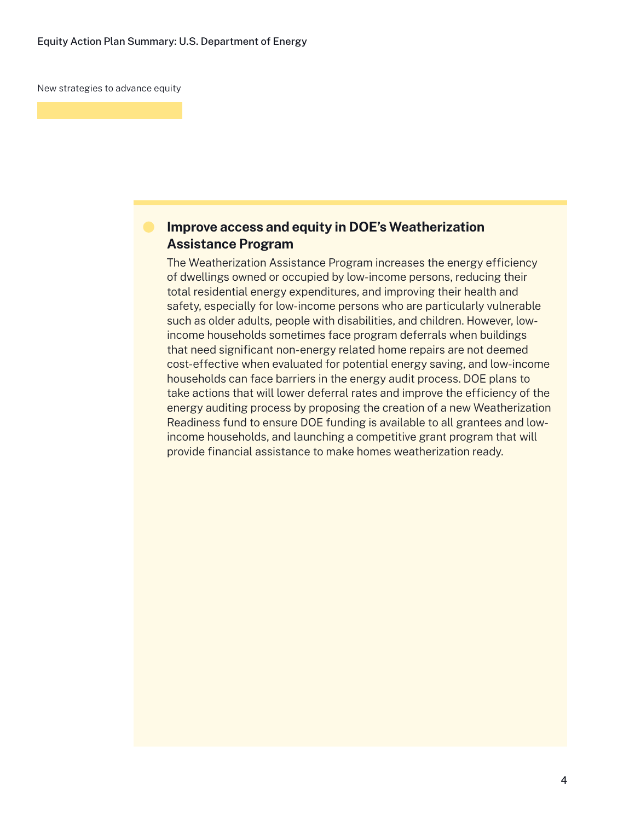New strategies to advance equity

#### **Improve access and equity in DOE's Weatherization Assistance Program**

The Weatherization Assistance Program increases the energy efficiency of dwellings owned or occupied by low-income persons, reducing their total residential energy expenditures, and improving their health and safety, especially for low-income persons who are particularly vulnerable such as older adults, people with disabilities, and children. However, lowincome households sometimes face program deferrals when buildings that need significant non-energy related home repairs are not deemed cost-effective when evaluated for potential energy saving, and low-income households can face barriers in the energy audit process. DOE plans to take actions that will lower deferral rates and improve the efficiency of the energy auditing process by proposing the creation of a new Weatherization Readiness fund to ensure DOE funding is available to all grantees and lowincome households, and launching a competitive grant program that will provide financial assistance to make homes weatherization ready.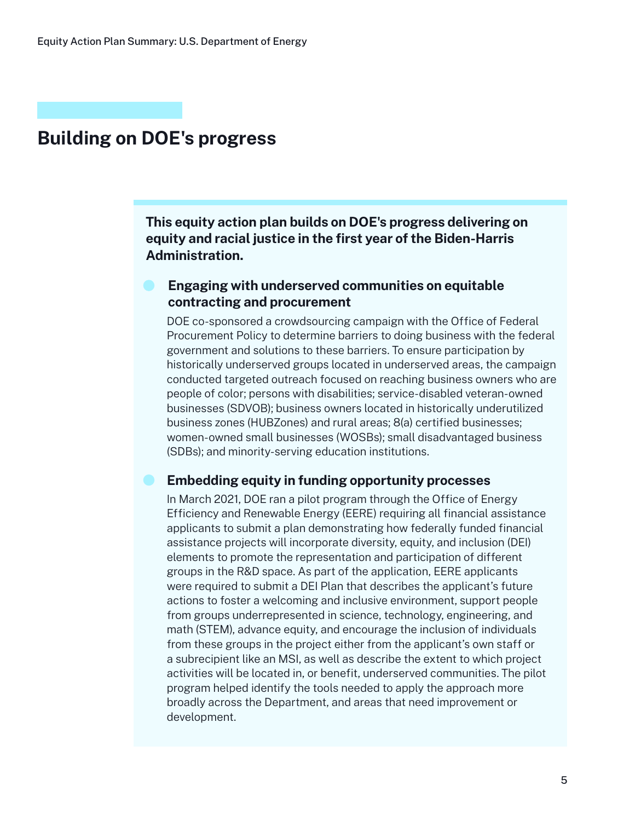## **Building on DOE's progress**

**This equity action plan builds on DOE's progress delivering on equity and racial justice in the first year of the Biden-Harris Administration.**

#### **Engaging with underserved communities on equitable contracting and procurement**

DOE co-sponsored a crowdsourcing campaign with the Office of Federal Procurement Policy to determine barriers to doing business with the federal government and solutions to these barriers. To ensure participation by historically underserved groups located in underserved areas, the campaign conducted targeted outreach focused on reaching business owners who are people of color; persons with disabilities; service-disabled veteran-owned businesses (SDVOB); business owners located in historically underutilized business zones (HUBZones) and rural areas; 8(a) certified businesses; women-owned small businesses (WOSBs); small disadvantaged business (SDBs); and minority-serving education institutions.

#### **Embedding equity in funding opportunity processes**

In March 2021, DOE ran a pilot program through the Office of Energy Efficiency and Renewable Energy (EERE) requiring all financial assistance applicants to submit a plan demonstrating how federally funded financial assistance projects will incorporate diversity, equity, and inclusion (DEI) elements to promote the representation and participation of different groups in the R&D space. As part of the application, EERE applicants were required to submit a DEI Plan that describes the applicant's future actions to foster a welcoming and inclusive environment, support people from groups underrepresented in science, technology, engineering, and math (STEM), advance equity, and encourage the inclusion of individuals from these groups in the project either from the applicant's own staff or a subrecipient like an MSI, as well as describe the extent to which project activities will be located in, or benefit, underserved communities. The pilot program helped identify the tools needed to apply the approach more broadly across the Department, and areas that need improvement or development.